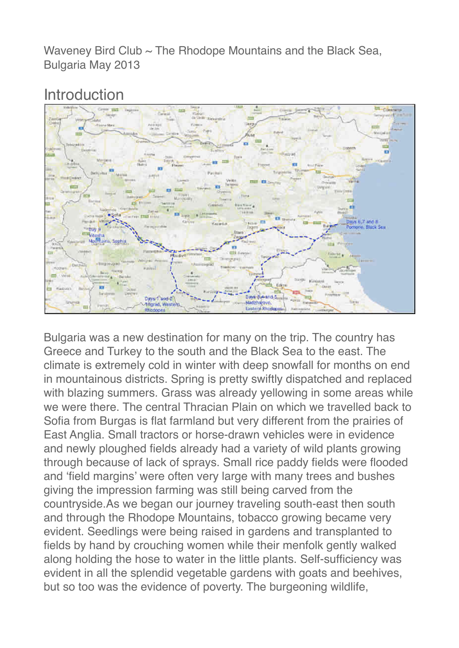Waveney Bird Club  $\sim$  The Rhodope Mountains and the Black Sea, Bulgaria May 2013

# Introduction



Bulgaria was a new destination for many on the trip. The country has Greece and Turkey to the south and the Black Sea to the east. The climate is extremely cold in winter with deep snowfall for months on end in mountainous districts. Spring is pretty swiftly dispatched and replaced with blazing summers. Grass was already vellowing in some areas while we were there. The central Thracian Plain on which we travelled back to Sofia from Burgas is flat farmland but very different from the prairies of East Anglia. Small tractors or horse-drawn vehicles were in evidence and newly ploughed fields already had a variety of wild plants growing through because of lack of sprays. Small rice paddy fields were flooded and 'field margins' were often very large with many trees and bushes giving the impression farming was still being carved from the countryside.As we began our journey traveling south-east then south and through the Rhodope Mountains, tobacco growing became very evident. Seedlings were being raised in gardens and transplanted to fields by hand by crouching women while their menfolk gently walked along holding the hose to water in the little plants. Self-sufficiency was evident in all the splendid vegetable gardens with goats and beehives, but so too was the evidence of poverty. The burgeoning wildlife,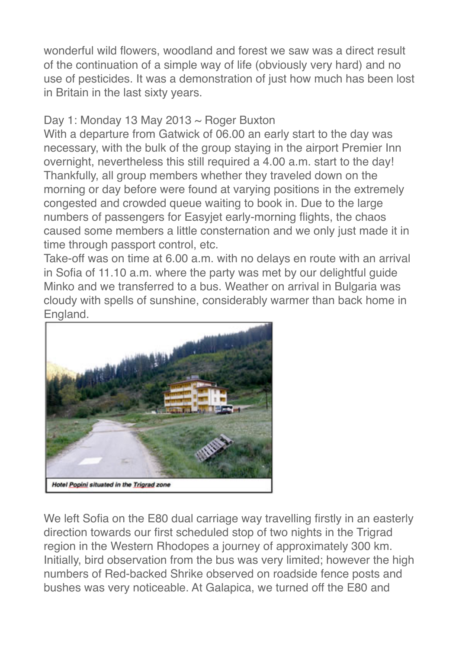wonderful wild flowers, woodland and forest we saw was a direct result of the continuation of a simple way of life (obviously very hard) and no use of pesticides. It was a demonstration of just how much has been lost in Britain in the last sixty years.

### Day 1: Monday 13 May 2013 ~ Roger Buxton

With a departure from Gatwick of 06.00 an early start to the day was necessary, with the bulk of the group staying in the airport Premier Inn overnight, nevertheless this still required a 4.00 a.m. start to the day! Thankfully, all group members whether they traveled down on the morning or day before were found at varying positions in the extremely congested and crowded queue waiting to book in. Due to the large numbers of passengers for Easyjet early-morning flights, the chaos caused some members a little consternation and we only just made it in time through passport control, etc.

Take-off was on time at 6.00 a.m. with no delays en route with an arrival in Sofia of 11.10 a.m. where the party was met by our delightful guide Minko and we transferred to a bus. Weather on arrival in Bulgaria was cloudy with spells of sunshine, considerably warmer than back home in England.



We left Sofia on the E80 dual carriage way travelling firstly in an easterly direction towards our first scheduled stop of two nights in the Trigrad region in the Western Rhodopes a journey of approximately 300 km. Initially, bird observation from the bus was very limited; however the high numbers of Red-backed Shrike observed on roadside fence posts and bushes was very noticeable. At Galapica, we turned off the E80 and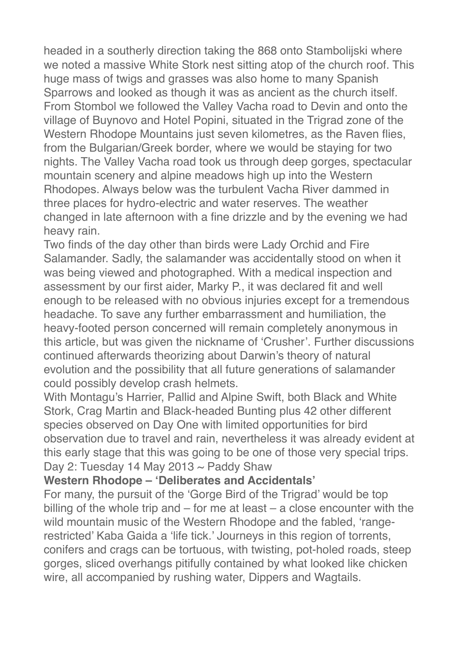headed in a southerly direction taking the 868 onto Stambolijski where we noted a massive White Stork nest sitting atop of the church roof. This huge mass of twigs and grasses was also home to many Spanish Sparrows and looked as though it was as ancient as the church itself. From Stombol we followed the Valley Vacha road to Devin and onto the village of Buynovo and Hotel Popini, situated in the Trigrad zone of the Western Rhodope Mountains just seven kilometres, as the Raven flies, from the Bulgarian/Greek border, where we would be staying for two nights. The Valley Vacha road took us through deep gorges, spectacular mountain scenery and alpine meadows high up into the Western Rhodopes. Always below was the turbulent Vacha River dammed in three places for hydro-electric and water reserves. The weather changed in late afternoon with a fine drizzle and by the evening we had heavy rain.

Two finds of the day other than birds were Lady Orchid and Fire Salamander. Sadly, the salamander was accidentally stood on when it was being viewed and photographed. With a medical inspection and assessment by our first aider, Marky P., it was declared fit and well enough to be released with no obvious injuries except for a tremendous headache. To save any further embarrassment and humiliation, the heavy-footed person concerned will remain completely anonymous in this article, but was given the nickname of 'Crusher'. Further discussions continued afterwards theorizing about Darwin's theory of natural evolution and the possibility that all future generations of salamander could possibly develop crash helmets.

With Montagu's Harrier, Pallid and Alpine Swift, both Black and White Stork, Crag Martin and Black-headed Bunting plus 42 other different species observed on Day One with limited opportunities for bird observation due to travel and rain, nevertheless it was already evident at this early stage that this was going to be one of those very special trips. Day 2: Tuesday 14 May 2013  $\sim$  Paddy Shaw

#### **Western Rhodope – 'Deliberates and Accidentals'**

For many, the pursuit of the 'Gorge Bird of the Trigrad' would be top billing of the whole trip and – for me at least – a close encounter with the wild mountain music of the Western Rhodope and the fabled, 'rangerestricted' Kaba Gaida a 'life tick.' Journeys in this region of torrents, conifers and crags can be tortuous, with twisting, pot-holed roads, steep gorges, sliced overhangs pitifully contained by what looked like chicken wire, all accompanied by rushing water, Dippers and Wagtails.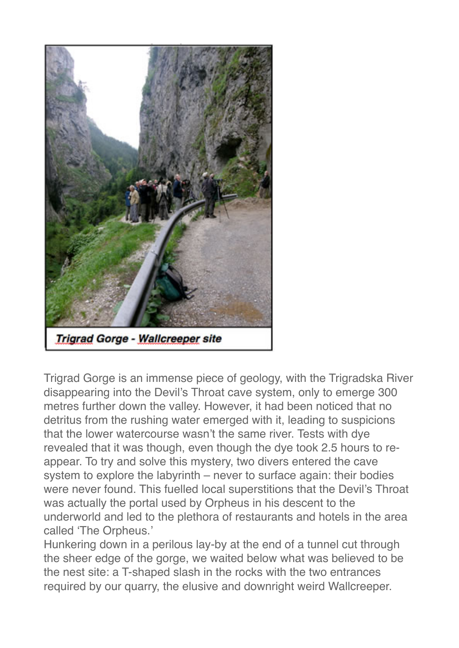

Trigrad Gorge is an immense piece of geology, with the Trigradska River disappearing into the Devil's Throat cave system, only to emerge 300 metres further down the valley. However, it had been noticed that no detritus from the rushing water emerged with it, leading to suspicions that the lower watercourse wasn't the same river. Tests with dye revealed that it was though, even though the dye took 2.5 hours to reappear. To try and solve this mystery, two divers entered the cave system to explore the labyrinth – never to surface again: their bodies were never found. This fuelled local superstitions that the Devil's Throat was actually the portal used by Orpheus in his descent to the underworld and led to the plethora of restaurants and hotels in the area called 'The Orpheus.'

Hunkering down in a perilous lay-by at the end of a tunnel cut through the sheer edge of the gorge, we waited below what was believed to be the nest site: a T-shaped slash in the rocks with the two entrances required by our quarry, the elusive and downright weird Wallcreeper.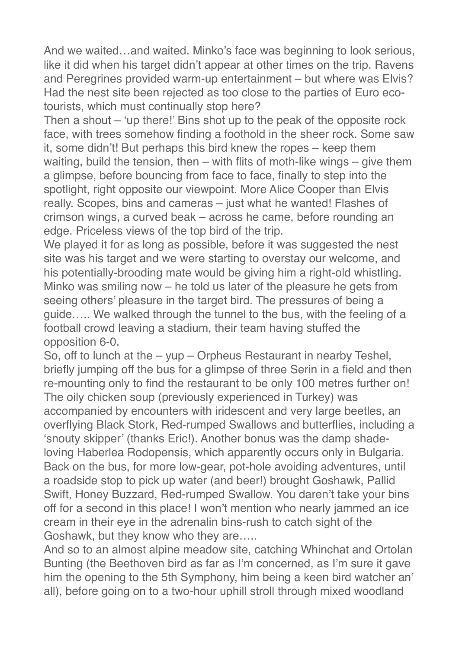And we waited…and waited. Minko's face was beginning to look serious, like it did when his target didn't appear at other times on the trip. Ravens and Peregrines provided warm-up entertainment – but where was Elvis? Had the nest site been rejected as too close to the parties of Euro ecotourists, which must continually stop here?

Then a shout – 'up there!' Bins shot up to the peak of the opposite rock face, with trees somehow finding a foothold in the sheer rock. Some saw it, some didn't! But perhaps this bird knew the ropes – keep them waiting, build the tension, then – with flits of moth-like wings – give them a glimpse, before bouncing from face to face, finally to step into the spotlight, right opposite our viewpoint. More Alice Cooper than Elvis really. Scopes, bins and cameras – just what he wanted! Flashes of crimson wings, a curved beak – across he came, before rounding an edge. Priceless views of the top bird of the trip.

We played it for as long as possible, before it was suggested the nest site was his target and we were starting to overstay our welcome, and his potentially-brooding mate would be giving him a right-old whistling. Minko was smiling now – he told us later of the pleasure he gets from seeing others' pleasure in the target bird. The pressures of being a guide….. We walked through the tunnel to the bus, with the feeling of a football crowd leaving a stadium, their team having stuffed the opposition 6-0.

So, off to lunch at the – yup – Orpheus Restaurant in nearby Teshel, briefly jumping off the bus for a glimpse of three Serin in a field and then re-mounting only to find the restaurant to be only 100 metres further on! The oily chicken soup (previously experienced in Turkey) was accompanied by encounters with iridescent and very large beetles, an overflying Black Stork, Red-rumped Swallows and butterflies, including a 'snouty skipper' (thanks Eric!). Another bonus was the damp shadeloving Haberlea Rodopensis, which apparently occurs only in Bulgaria. Back on the bus, for more low-gear, pot-hole avoiding adventures, until a roadside stop to pick up water (and beer!) brought Goshawk, Pallid Swift, Honey Buzzard, Red-rumped Swallow. You daren't take your bins off for a second in this place! I won't mention who nearly jammed an ice cream in their eye in the adrenalin bins-rush to catch sight of the Goshawk, but they know who they are…..

And so to an almost alpine meadow site, catching Whinchat and Ortolan Bunting (the Beethoven bird as far as I'm concerned, as I'm sure it gave him the opening to the 5th Symphony, him being a keen bird watcher an' all), before going on to a two-hour uphill stroll through mixed woodland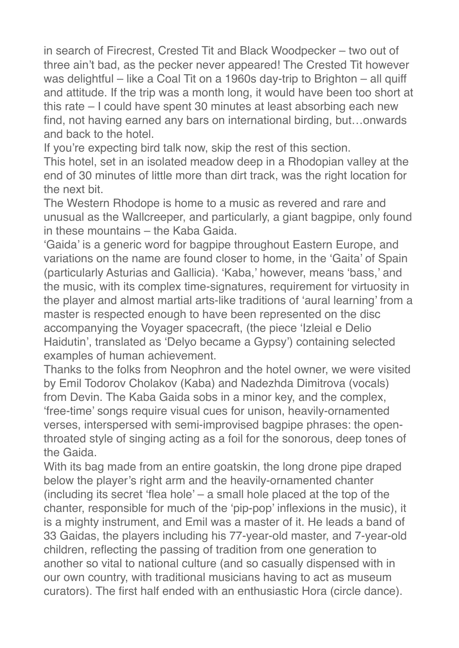in search of Firecrest, Crested Tit and Black Woodpecker – two out of three ain't bad, as the pecker never appeared! The Crested Tit however was delightful – like a Coal Tit on a 1960s day-trip to Brighton – all quiff and attitude. If the trip was a month long, it would have been too short at this rate – I could have spent 30 minutes at least absorbing each new find, not having earned any bars on international birding, but…onwards and back to the hotel.

If you're expecting bird talk now, skip the rest of this section.

This hotel, set in an isolated meadow deep in a Rhodopian valley at the end of 30 minutes of little more than dirt track, was the right location for the next bit.

The Western Rhodope is home to a music as revered and rare and unusual as the Wallcreeper, and particularly, a giant bagpipe, only found in these mountains – the Kaba Gaida.

'Gaida' is a generic word for bagpipe throughout Eastern Europe, and variations on the name are found closer to home, in the 'Gaita' of Spain (particularly Asturias and Gallicia). 'Kaba,' however, means 'bass,' and the music, with its complex time-signatures, requirement for virtuosity in the player and almost martial arts-like traditions of 'aural learning' from a master is respected enough to have been represented on the disc accompanying the Voyager spacecraft, (the piece 'Izleial e Delio Haidutin', translated as 'Delyo became a Gypsy') containing selected examples of human achievement.

Thanks to the folks from Neophron and the hotel owner, we were visited by Emil Todorov Cholakov (Kaba) and Nadezhda Dimitrova (vocals) from Devin. The Kaba Gaida sobs in a minor key, and the complex, 'free-time' songs require visual cues for unison, heavily-ornamented verses, interspersed with semi-improvised bagpipe phrases: the openthroated style of singing acting as a foil for the sonorous, deep tones of the Gaida.

With its bag made from an entire goatskin, the long drone pipe draped below the player's right arm and the heavily-ornamented chanter (including its secret 'flea hole' – a small hole placed at the top of the chanter, responsible for much of the 'pip-pop' inflexions in the music), it is a mighty instrument, and Emil was a master of it. He leads a band of 33 Gaidas, the players including his 77-year-old master, and 7-year-old children, reflecting the passing of tradition from one generation to another so vital to national culture (and so casually dispensed with in our own country, with traditional musicians having to act as museum curators). The first half ended with an enthusiastic Hora (circle dance).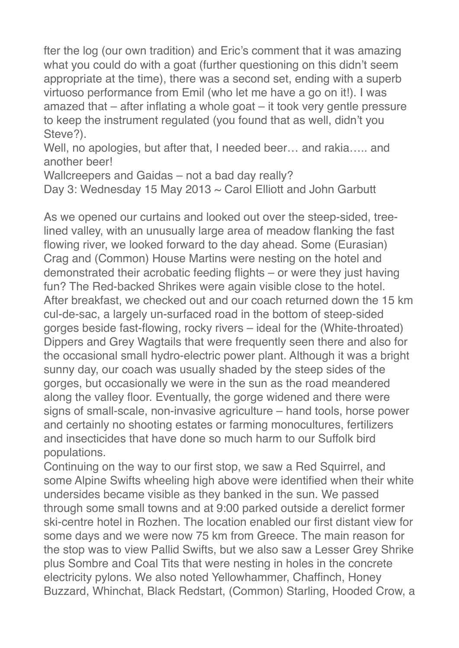fter the log (our own tradition) and Eric's comment that it was amazing what you could do with a goat (further questioning on this didn't seem appropriate at the time), there was a second set, ending with a superb virtuoso performance from Emil (who let me have a go on it!). I was amazed that – after inflating a whole goat – it took very gentle pressure to keep the instrument regulated (you found that as well, didn't you Steve?).

Well, no apologies, but after that, I needed beer… and rakia….. and another beer!

Wallcreepers and Gaidas – not a bad day really?

Day 3: Wednesday 15 May 2013 ~ Carol Elliott and John Garbutt

As we opened our curtains and looked out over the steep-sided, treelined valley, with an unusually large area of meadow flanking the fast flowing river, we looked forward to the day ahead. Some (Eurasian) Crag and (Common) House Martins were nesting on the hotel and demonstrated their acrobatic feeding flights – or were they just having fun? The Red-backed Shrikes were again visible close to the hotel. After breakfast, we checked out and our coach returned down the 15 km cul-de-sac, a largely un-surfaced road in the bottom of steep-sided gorges beside fast-flowing, rocky rivers – ideal for the (White-throated) Dippers and Grey Wagtails that were frequently seen there and also for the occasional small hydro-electric power plant. Although it was a bright sunny day, our coach was usually shaded by the steep sides of the gorges, but occasionally we were in the sun as the road meandered along the valley floor. Eventually, the gorge widened and there were signs of small-scale, non-invasive agriculture – hand tools, horse power and certainly no shooting estates or farming monocultures, fertilizers and insecticides that have done so much harm to our Suffolk bird populations.

Continuing on the way to our first stop, we saw a Red Squirrel, and some Alpine Swifts wheeling high above were identified when their white undersides became visible as they banked in the sun. We passed through some small towns and at 9:00 parked outside a derelict former ski-centre hotel in Rozhen. The location enabled our first distant view for some days and we were now 75 km from Greece. The main reason for the stop was to view Pallid Swifts, but we also saw a Lesser Grey Shrike plus Sombre and Coal Tits that were nesting in holes in the concrete electricity pylons. We also noted Yellowhammer, Chaffinch, Honey Buzzard, Whinchat, Black Redstart, (Common) Starling, Hooded Crow, a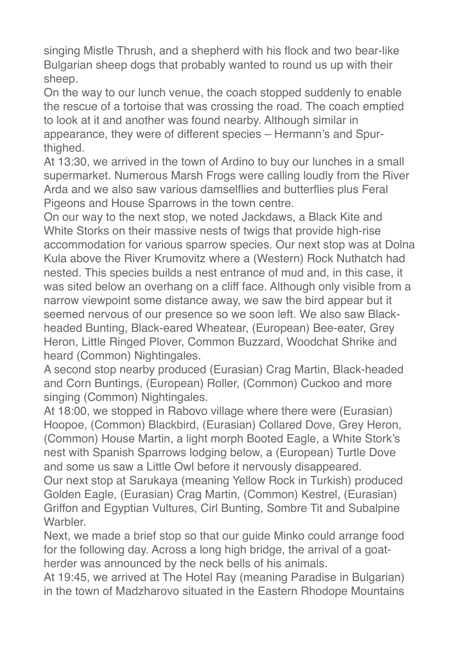singing Mistle Thrush, and a shepherd with his flock and two bear-like Bulgarian sheep dogs that probably wanted to round us up with their sheep.

On the way to our lunch venue, the coach stopped suddenly to enable the rescue of a tortoise that was crossing the road. The coach emptied to look at it and another was found nearby. Although similar in appearance, they were of different species – Hermann's and Spurthighed.

At 13:30, we arrived in the town of Ardino to buy our lunches in a small supermarket. Numerous Marsh Frogs were calling loudly from the River Arda and we also saw various damselflies and butterflies plus Feral Pigeons and House Sparrows in the town centre.

On our way to the next stop, we noted Jackdaws, a Black Kite and White Storks on their massive nests of twigs that provide high-rise accommodation for various sparrow species. Our next stop was at Dolna Kula above the River Krumovitz where a (Western) Rock Nuthatch had nested. This species builds a nest entrance of mud and, in this case, it was sited below an overhang on a cliff face. Although only visible from a narrow viewpoint some distance away, we saw the bird appear but it seemed nervous of our presence so we soon left. We also saw Blackheaded Bunting, Black-eared Wheatear, (European) Bee-eater, Grey Heron, Little Ringed Plover, Common Buzzard, Woodchat Shrike and heard (Common) Nightingales.

A second stop nearby produced (Eurasian) Crag Martin, Black-headed and Corn Buntings, (European) Roller, (Common) Cuckoo and more singing (Common) Nightingales.

At 18:00, we stopped in Rabovo village where there were (Eurasian) Hoopoe, (Common) Blackbird, (Eurasian) Collared Dove, Grey Heron, (Common) House Martin, a light morph Booted Eagle, a White Stork's nest with Spanish Sparrows lodging below, a (European) Turtle Dove and some us saw a Little Owl before it nervously disappeared.

Our next stop at Sarukaya (meaning Yellow Rock in Turkish) produced Golden Eagle, (Eurasian) Crag Martin, (Common) Kestrel, (Eurasian) Griffon and Egyptian Vultures, Cirl Bunting, Sombre Tit and Subalpine **Warbler** 

Next, we made a brief stop so that our guide Minko could arrange food for the following day. Across a long high bridge, the arrival of a goatherder was announced by the neck bells of his animals.

At 19:45, we arrived at The Hotel Ray (meaning Paradise in Bulgarian) in the town of Madzharovo situated in the Eastern Rhodope Mountains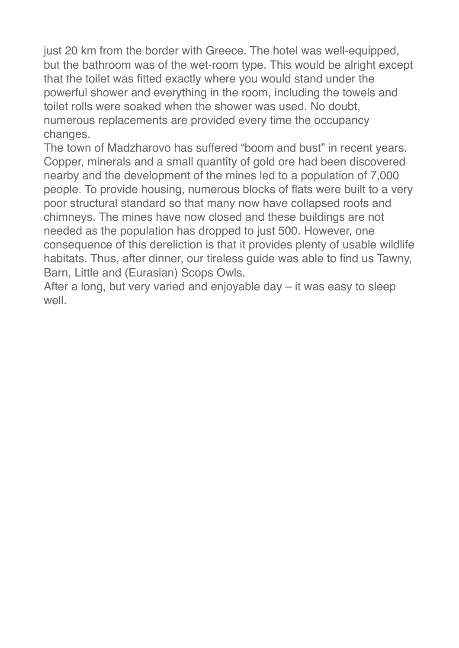just 20 km from the border with Greece. The hotel was well-equipped, but the bathroom was of the wet-room type. This would be alright except that the toilet was fitted exactly where you would stand under the powerful shower and everything in the room, including the towels and toilet rolls were soaked when the shower was used. No doubt, numerous replacements are provided every time the occupancy changes.

The town of Madzharovo has suffered "boom and bust" in recent years. Copper, minerals and a small quantity of gold ore had been discovered nearby and the development of the mines led to a population of 7,000 people. To provide housing, numerous blocks of flats were built to a very poor structural standard so that many now have collapsed roofs and chimneys. The mines have now closed and these buildings are not needed as the population has dropped to just 500. However, one consequence of this dereliction is that it provides plenty of usable wildlife habitats. Thus, after dinner, our tireless guide was able to find us Tawny, Barn, Little and (Eurasian) Scops Owls.

After a long, but very varied and enjoyable day – it was easy to sleep well.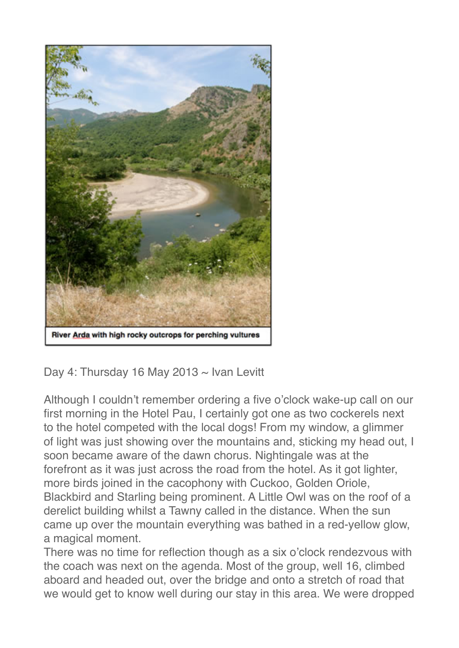

Day 4: Thursday 16 May 2013  $\sim$  Ivan Levitt

Although I couldn't remember ordering a five o'clock wake-up call on our first morning in the Hotel Pau, I certainly got one as two cockerels next to the hotel competed with the local dogs! From my window, a glimmer of light was just showing over the mountains and, sticking my head out, I soon became aware of the dawn chorus. Nightingale was at the forefront as it was just across the road from the hotel. As it got lighter, more birds joined in the cacophony with Cuckoo, Golden Oriole, Blackbird and Starling being prominent. A Little Owl was on the roof of a derelict building whilst a Tawny called in the distance. When the sun came up over the mountain everything was bathed in a red-yellow glow, a magical moment.

There was no time for reflection though as a six o'clock rendezvous with the coach was next on the agenda. Most of the group, well 16, climbed aboard and headed out, over the bridge and onto a stretch of road that we would get to know well during our stay in this area. We were dropped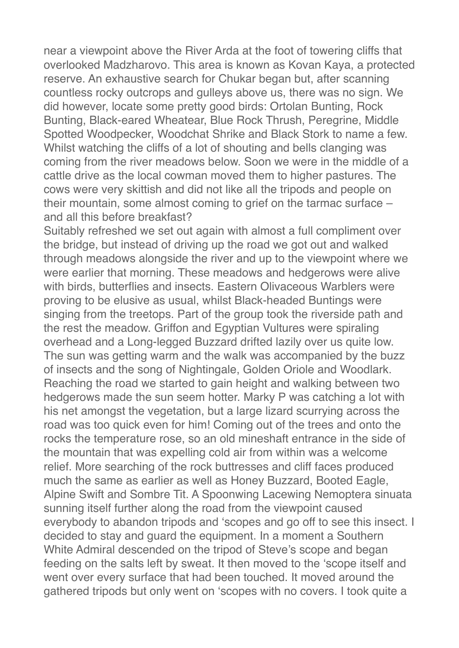near a viewpoint above the River Arda at the foot of towering cliffs that overlooked Madzharovo. This area is known as Kovan Kaya, a protected reserve. An exhaustive search for Chukar began but, after scanning countless rocky outcrops and gulleys above us, there was no sign. We did however, locate some pretty good birds: Ortolan Bunting, Rock Bunting, Black-eared Wheatear, Blue Rock Thrush, Peregrine, Middle Spotted Woodpecker, Woodchat Shrike and Black Stork to name a few. Whilst watching the cliffs of a lot of shouting and bells clanging was coming from the river meadows below. Soon we were in the middle of a cattle drive as the local cowman moved them to higher pastures. The cows were very skittish and did not like all the tripods and people on their mountain, some almost coming to grief on the tarmac surface – and all this before breakfast?

Suitably refreshed we set out again with almost a full compliment over the bridge, but instead of driving up the road we got out and walked through meadows alongside the river and up to the viewpoint where we were earlier that morning. These meadows and hedgerows were alive with birds, butterflies and insects. Eastern Olivaceous Warblers were proving to be elusive as usual, whilst Black-headed Buntings were singing from the treetops. Part of the group took the riverside path and the rest the meadow. Griffon and Egyptian Vultures were spiraling overhead and a Long-legged Buzzard drifted lazily over us quite low. The sun was getting warm and the walk was accompanied by the buzz of insects and the song of Nightingale, Golden Oriole and Woodlark. Reaching the road we started to gain height and walking between two hedgerows made the sun seem hotter. Marky P was catching a lot with his net amongst the vegetation, but a large lizard scurrying across the road was too quick even for him! Coming out of the trees and onto the rocks the temperature rose, so an old mineshaft entrance in the side of the mountain that was expelling cold air from within was a welcome relief. More searching of the rock buttresses and cliff faces produced much the same as earlier as well as Honey Buzzard, Booted Eagle, Alpine Swift and Sombre Tit. A Spoonwing Lacewing Nemoptera sinuata sunning itself further along the road from the viewpoint caused everybody to abandon tripods and 'scopes and go off to see this insect. I decided to stay and guard the equipment. In a moment a Southern White Admiral descended on the tripod of Steve's scope and began feeding on the salts left by sweat. It then moved to the 'scope itself and went over every surface that had been touched. It moved around the gathered tripods but only went on 'scopes with no covers. I took quite a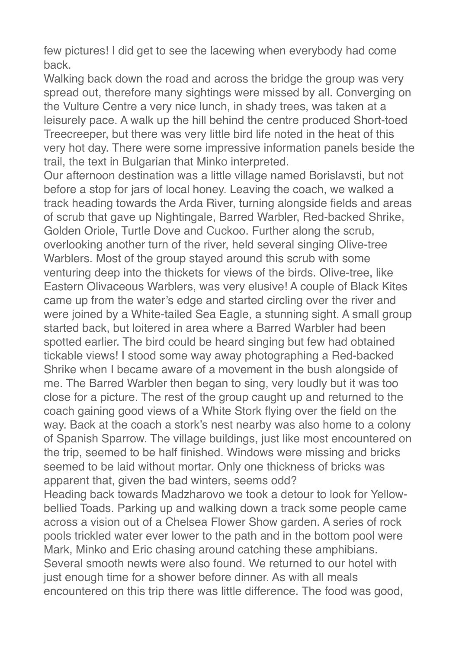few pictures! I did get to see the lacewing when everybody had come back.

Walking back down the road and across the bridge the group was very spread out, therefore many sightings were missed by all. Converging on the Vulture Centre a very nice lunch, in shady trees, was taken at a leisurely pace. A walk up the hill behind the centre produced Short-toed Treecreeper, but there was very little bird life noted in the heat of this very hot day. There were some impressive information panels beside the trail, the text in Bulgarian that Minko interpreted.

Our afternoon destination was a little village named Borislavsti, but not before a stop for jars of local honey. Leaving the coach, we walked a track heading towards the Arda River, turning alongside fields and areas of scrub that gave up Nightingale, Barred Warbler, Red-backed Shrike, Golden Oriole, Turtle Dove and Cuckoo. Further along the scrub, overlooking another turn of the river, held several singing Olive-tree Warblers. Most of the group stayed around this scrub with some venturing deep into the thickets for views of the birds. Olive-tree, like Eastern Olivaceous Warblers, was very elusive! A couple of Black Kites came up from the water's edge and started circling over the river and were joined by a White-tailed Sea Eagle, a stunning sight. A small group started back, but loitered in area where a Barred Warbler had been spotted earlier. The bird could be heard singing but few had obtained tickable views! I stood some way away photographing a Red-backed Shrike when I became aware of a movement in the bush alongside of me. The Barred Warbler then began to sing, very loudly but it was too close for a picture. The rest of the group caught up and returned to the coach gaining good views of a White Stork flying over the field on the way. Back at the coach a stork's nest nearby was also home to a colony of Spanish Sparrow. The village buildings, just like most encountered on the trip, seemed to be half finished. Windows were missing and bricks seemed to be laid without mortar. Only one thickness of bricks was apparent that, given the bad winters, seems odd?

Heading back towards Madzharovo we took a detour to look for Yellowbellied Toads. Parking up and walking down a track some people came across a vision out of a Chelsea Flower Show garden. A series of rock pools trickled water ever lower to the path and in the bottom pool were Mark, Minko and Eric chasing around catching these amphibians. Several smooth newts were also found. We returned to our hotel with just enough time for a shower before dinner. As with all meals encountered on this trip there was little difference. The food was good,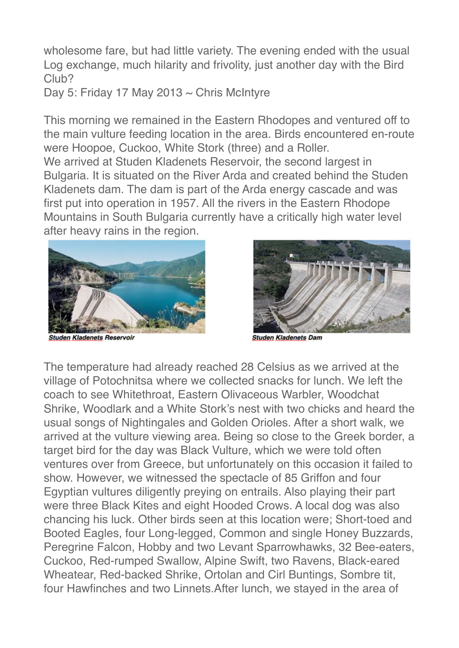wholesome fare, but had little variety. The evening ended with the usual Log exchange, much hilarity and frivolity, just another day with the Bird Club?

Day 5: Friday 17 May 2013  $\sim$  Chris McIntyre

This morning we remained in the Eastern Rhodopes and ventured off to the main vulture feeding location in the area. Birds encountered en-route were Hoopoe, Cuckoo, White Stork (three) and a Roller.

We arrived at Studen Kladenets Reservoir, the second largest in Bulgaria. It is situated on the River Arda and created behind the Studen Kladenets dam. The dam is part of the Arda energy cascade and was first put into operation in 1957. All the rivers in the Eastern Rhodope Mountains in South Bulgaria currently have a critically high water level after heavy rains in the region.



den Kladenets Reservoir



**Studen Kladenets Dam** 

The temperature had already reached 28 Celsius as we arrived at the village of Potochnitsa where we collected snacks for lunch. We left the coach to see Whitethroat, Eastern Olivaceous Warbler, Woodchat Shrike, Woodlark and a White Stork's nest with two chicks and heard the usual songs of Nightingales and Golden Orioles. After a short walk, we arrived at the vulture viewing area. Being so close to the Greek border, a target bird for the day was Black Vulture, which we were told often ventures over from Greece, but unfortunately on this occasion it failed to show. However, we witnessed the spectacle of 85 Griffon and four Egyptian vultures diligently preying on entrails. Also playing their part were three Black Kites and eight Hooded Crows. A local dog was also chancing his luck. Other birds seen at this location were; Short-toed and Booted Eagles, four Long-legged, Common and single Honey Buzzards, Peregrine Falcon, Hobby and two Levant Sparrowhawks, 32 Bee-eaters, Cuckoo, Red-rumped Swallow, Alpine Swift, two Ravens, Black-eared Wheatear, Red-backed Shrike, Ortolan and Cirl Buntings, Sombre tit, four Hawfinches and two Linnets.After lunch, we stayed in the area of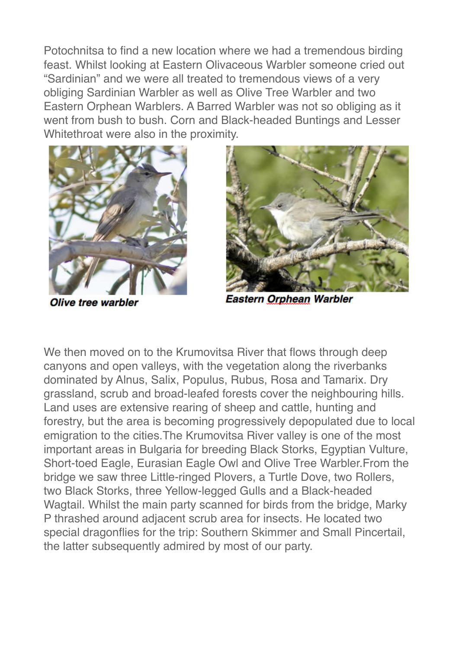Potochnitsa to find a new location where we had a tremendous birding feast. Whilst looking at Eastern Olivaceous Warbler someone cried out "Sardinian" and we were all treated to tremendous views of a very obliging Sardinian Warbler as well as Olive Tree Warbler and two Eastern Orphean Warblers. A Barred Warbler was not so obliging as it went from bush to bush. Corn and Black-headed Buntings and Lesser Whitethroat were also in the proximity.



**Olive tree warbler** 



**Eastern Orphean Warbler** 

We then moved on to the Krumovitsa River that flows through deep canyons and open valleys, with the vegetation along the riverbanks dominated by Alnus, Salix, Populus, Rubus, Rosa and Tamarix. Dry grassland, scrub and broad-leafed forests cover the neighbouring hills. Land uses are extensive rearing of sheep and cattle, hunting and forestry, but the area is becoming progressively depopulated due to local emigration to the cities.The Krumovitsa River valley is one of the most important areas in Bulgaria for breeding Black Storks, Egyptian Vulture, Short-toed Eagle, Eurasian Eagle Owl and Olive Tree Warbler.From the bridge we saw three Little-ringed Plovers, a Turtle Dove, two Rollers, two Black Storks, three Yellow-legged Gulls and a Black-headed Wagtail. Whilst the main party scanned for birds from the bridge, Marky P thrashed around adjacent scrub area for insects. He located two special dragonflies for the trip: Southern Skimmer and Small Pincertail, the latter subsequently admired by most of our party.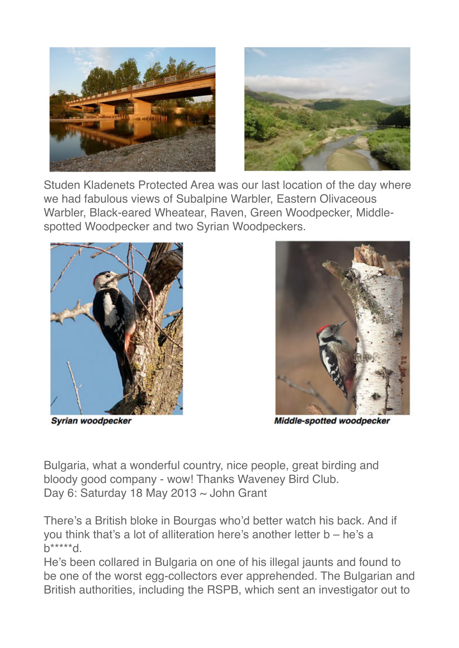



Studen Kladenets Protected Area was our last location of the day where we had fabulous views of Subalpine Warbler, Eastern Olivaceous Warbler, Black-eared Wheatear, Raven, Green Woodpecker, Middlespotted Woodpecker and two Syrian Woodpeckers.



Syrian woodpecker



Middle-spotted woodpecker

Bulgaria, what a wonderful country, nice people, great birding and bloody good company - wow! Thanks Waveney Bird Club. Day 6: Saturday 18 May 2013 ~ John Grant

There's a British bloke in Bourgas who'd better watch his back. And if you think that's a lot of alliteration here's another letter b – he's a  $h^{***}d$ 

He's been collared in Bulgaria on one of his illegal jaunts and found to be one of the worst egg-collectors ever apprehended. The Bulgarian and British authorities, including the RSPB, which sent an investigator out to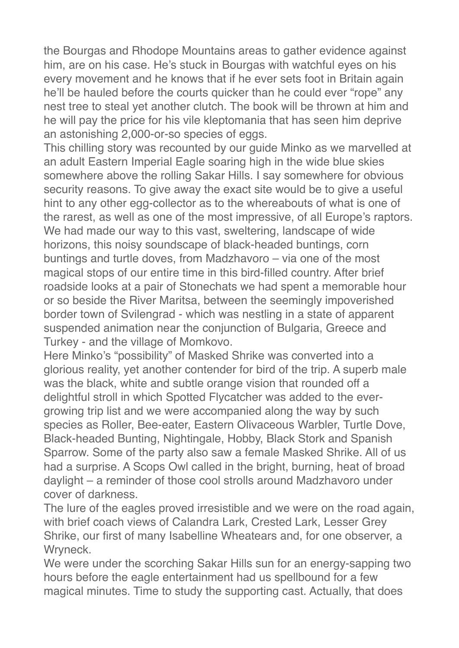the Bourgas and Rhodope Mountains areas to gather evidence against him, are on his case. He's stuck in Bourgas with watchful eyes on his every movement and he knows that if he ever sets foot in Britain again he'll be hauled before the courts quicker than he could ever "rope" any nest tree to steal yet another clutch. The book will be thrown at him and he will pay the price for his vile kleptomania that has seen him deprive an astonishing 2,000-or-so species of eggs.

This chilling story was recounted by our guide Minko as we marvelled at an adult Eastern Imperial Eagle soaring high in the wide blue skies somewhere above the rolling Sakar Hills. I say somewhere for obvious security reasons. To give away the exact site would be to give a useful hint to any other egg-collector as to the whereabouts of what is one of the rarest, as well as one of the most impressive, of all Europe's raptors. We had made our way to this vast, sweltering, landscape of wide horizons, this noisy soundscape of black-headed buntings, corn buntings and turtle doves, from Madzhavoro – via one of the most magical stops of our entire time in this bird-filled country. After brief roadside looks at a pair of Stonechats we had spent a memorable hour or so beside the River Maritsa, between the seemingly impoverished border town of Svilengrad - which was nestling in a state of apparent suspended animation near the conjunction of Bulgaria, Greece and Turkey - and the village of Momkovo.

Here Minko's "possibility" of Masked Shrike was converted into a glorious reality, yet another contender for bird of the trip. A superb male was the black, white and subtle orange vision that rounded off a delightful stroll in which Spotted Flycatcher was added to the evergrowing trip list and we were accompanied along the way by such species as Roller, Bee-eater, Eastern Olivaceous Warbler, Turtle Dove, Black-headed Bunting, Nightingale, Hobby, Black Stork and Spanish Sparrow. Some of the party also saw a female Masked Shrike. All of us had a surprise. A Scops Owl called in the bright, burning, heat of broad daylight – a reminder of those cool strolls around Madzhavoro under cover of darkness.

The lure of the eagles proved irresistible and we were on the road again, with brief coach views of Calandra Lark, Crested Lark, Lesser Grey Shrike, our first of many Isabelline Wheatears and, for one observer, a Wryneck.

We were under the scorching Sakar Hills sun for an energy-sapping two hours before the eagle entertainment had us spellbound for a few magical minutes. Time to study the supporting cast. Actually, that does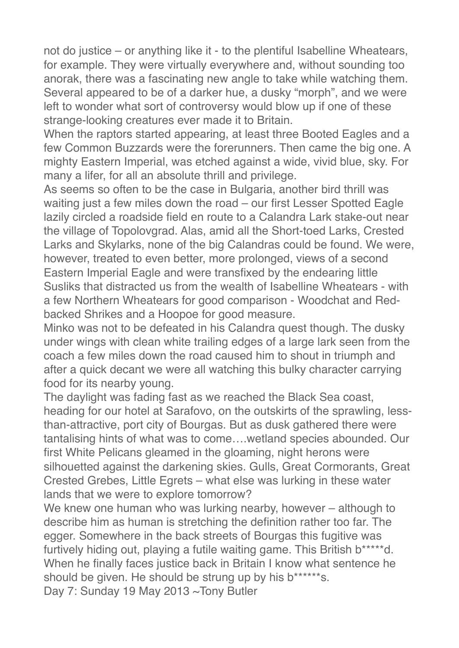not do justice – or anything like it - to the plentiful Isabelline Wheatears, for example. They were virtually everywhere and, without sounding too anorak, there was a fascinating new angle to take while watching them. Several appeared to be of a darker hue, a dusky "morph", and we were left to wonder what sort of controversy would blow up if one of these strange-looking creatures ever made it to Britain.

When the raptors started appearing, at least three Booted Eagles and a few Common Buzzards were the forerunners. Then came the big one. A mighty Eastern Imperial, was etched against a wide, vivid blue, sky. For many a lifer, for all an absolute thrill and privilege.

As seems so often to be the case in Bulgaria, another bird thrill was waiting just a few miles down the road – our first Lesser Spotted Eagle lazily circled a roadside field en route to a Calandra Lark stake-out near the village of Topolovgrad. Alas, amid all the Short-toed Larks, Crested Larks and Skylarks, none of the big Calandras could be found. We were, however, treated to even better, more prolonged, views of a second Eastern Imperial Eagle and were transfixed by the endearing little Susliks that distracted us from the wealth of Isabelline Wheatears - with a few Northern Wheatears for good comparison - Woodchat and Redbacked Shrikes and a Hoopoe for good measure.

Minko was not to be defeated in his Calandra quest though. The dusky under wings with clean white trailing edges of a large lark seen from the coach a few miles down the road caused him to shout in triumph and after a quick decant we were all watching this bulky character carrying food for its nearby young.

The daylight was fading fast as we reached the Black Sea coast, heading for our hotel at Sarafovo, on the outskirts of the sprawling, lessthan-attractive, port city of Bourgas. But as dusk gathered there were tantalising hints of what was to come….wetland species abounded. Our first White Pelicans gleamed in the gloaming, night herons were silhouetted against the darkening skies. Gulls, Great Cormorants, Great Crested Grebes, Little Egrets – what else was lurking in these water lands that we were to explore tomorrow?

We knew one human who was lurking nearby, however – although to describe him as human is stretching the definition rather too far. The egger. Somewhere in the back streets of Bourgas this fugitive was furtively hiding out, playing a futile waiting game. This British b\*\*\*\*\*d. When he finally faces justice back in Britain I know what sentence he should be given. He should be strung up by his b\*\*\*\*\*\*s.

Day 7: Sunday 19 May 2013 ~Tony Butler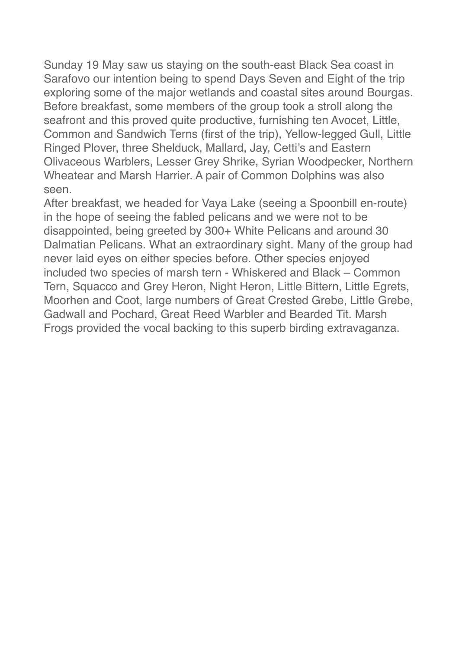Sunday 19 May saw us staying on the south-east Black Sea coast in Sarafovo our intention being to spend Days Seven and Eight of the trip exploring some of the major wetlands and coastal sites around Bourgas. Before breakfast, some members of the group took a stroll along the seafront and this proved quite productive, furnishing ten Avocet, Little, Common and Sandwich Terns (first of the trip), Yellow-legged Gull, Little Ringed Plover, three Shelduck, Mallard, Jay, Cetti's and Eastern Olivaceous Warblers, Lesser Grey Shrike, Syrian Woodpecker, Northern Wheatear and Marsh Harrier. A pair of Common Dolphins was also seen.

After breakfast, we headed for Vaya Lake (seeing a Spoonbill en-route) in the hope of seeing the fabled pelicans and we were not to be disappointed, being greeted by 300+ White Pelicans and around 30 Dalmatian Pelicans. What an extraordinary sight. Many of the group had never laid eyes on either species before. Other species enjoyed included two species of marsh tern - Whiskered and Black – Common Tern, Squacco and Grey Heron, Night Heron, Little Bittern, Little Egrets, Moorhen and Coot, large numbers of Great Crested Grebe, Little Grebe, Gadwall and Pochard, Great Reed Warbler and Bearded Tit. Marsh Frogs provided the vocal backing to this superb birding extravaganza.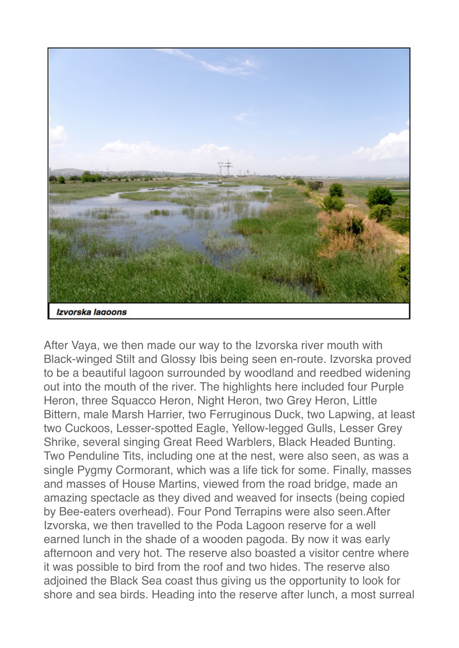

After Vaya, we then made our way to the Izvorska river mouth with Black-winged Stilt and Glossy Ibis being seen en-route. Izvorska proved to be a beautiful lagoon surrounded by woodland and reedbed widening out into the mouth of the river. The highlights here included four Purple Heron, three Squacco Heron, Night Heron, two Grey Heron, Little Bittern, male Marsh Harrier, two Ferruginous Duck, two Lapwing, at least two Cuckoos, Lesser-spotted Eagle, Yellow-legged Gulls, Lesser Grey Shrike, several singing Great Reed Warblers, Black Headed Bunting. Two Penduline Tits, including one at the nest, were also seen, as was a single Pygmy Cormorant, which was a life tick for some. Finally, masses and masses of House Martins, viewed from the road bridge, made an amazing spectacle as they dived and weaved for insects (being copied by Bee-eaters overhead). Four Pond Terrapins were also seen.After Izvorska, we then travelled to the Poda Lagoon reserve for a well earned lunch in the shade of a wooden pagoda. By now it was early afternoon and very hot. The reserve also boasted a visitor centre where it was possible to bird from the roof and two hides. The reserve also adjoined the Black Sea coast thus giving us the opportunity to look for shore and sea birds. Heading into the reserve after lunch, a most surreal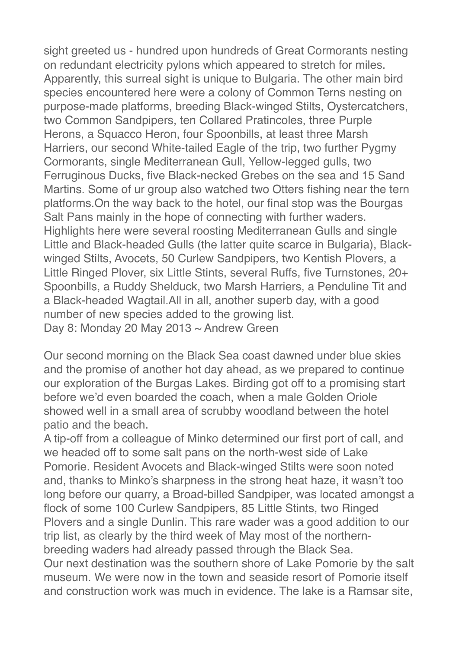sight greeted us - hundred upon hundreds of Great Cormorants nesting on redundant electricity pylons which appeared to stretch for miles. Apparently, this surreal sight is unique to Bulgaria. The other main bird species encountered here were a colony of Common Terns nesting on purpose-made platforms, breeding Black-winged Stilts, Oystercatchers, two Common Sandpipers, ten Collared Pratincoles, three Purple Herons, a Squacco Heron, four Spoonbills, at least three Marsh Harriers, our second White-tailed Eagle of the trip, two further Pygmy Cormorants, single Mediterranean Gull, Yellow-legged gulls, two Ferruginous Ducks, five Black-necked Grebes on the sea and 15 Sand Martins. Some of ur group also watched two Otters fishing near the tern platforms.On the way back to the hotel, our final stop was the Bourgas Salt Pans mainly in the hope of connecting with further waders. Highlights here were several roosting Mediterranean Gulls and single Little and Black-headed Gulls (the latter quite scarce in Bulgaria), Blackwinged Stilts, Avocets, 50 Curlew Sandpipers, two Kentish Plovers, a Little Ringed Plover, six Little Stints, several Ruffs, five Turnstones, 20+ Spoonbills, a Ruddy Shelduck, two Marsh Harriers, a Penduline Tit and a Black-headed Wagtail.All in all, another superb day, with a good number of new species added to the growing list. Day 8: Monday 20 May 2013 ~ Andrew Green

Our second morning on the Black Sea coast dawned under blue skies and the promise of another hot day ahead, as we prepared to continue our exploration of the Burgas Lakes. Birding got off to a promising start before we'd even boarded the coach, when a male Golden Oriole showed well in a small area of scrubby woodland between the hotel patio and the beach.

A tip-off from a colleague of Minko determined our first port of call, and we headed off to some salt pans on the north-west side of Lake Pomorie. Resident Avocets and Black-winged Stilts were soon noted and, thanks to Minko's sharpness in the strong heat haze, it wasn't too long before our quarry, a Broad-billed Sandpiper, was located amongst a flock of some 100 Curlew Sandpipers, 85 Little Stints, two Ringed Plovers and a single Dunlin. This rare wader was a good addition to our trip list, as clearly by the third week of May most of the northernbreeding waders had already passed through the Black Sea.

Our next destination was the southern shore of Lake Pomorie by the salt museum. We were now in the town and seaside resort of Pomorie itself and construction work was much in evidence. The lake is a Ramsar site,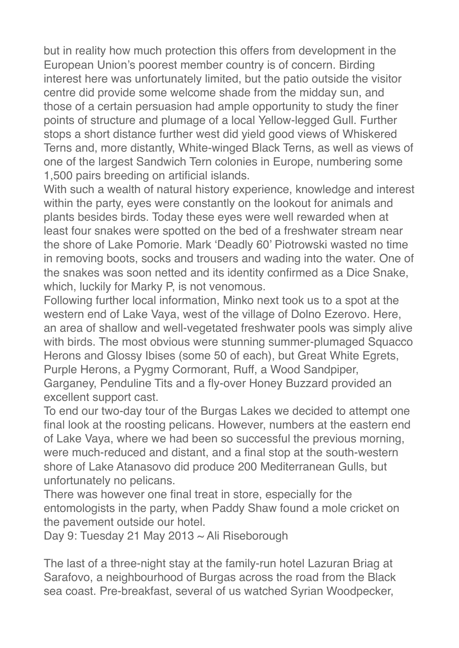but in reality how much protection this offers from development in the European Union's poorest member country is of concern. Birding interest here was unfortunately limited, but the patio outside the visitor centre did provide some welcome shade from the midday sun, and those of a certain persuasion had ample opportunity to study the finer points of structure and plumage of a local Yellow-legged Gull. Further stops a short distance further west did yield good views of Whiskered Terns and, more distantly, White-winged Black Terns, as well as views of one of the largest Sandwich Tern colonies in Europe, numbering some 1,500 pairs breeding on artificial islands.

With such a wealth of natural history experience, knowledge and interest within the party, eyes were constantly on the lookout for animals and plants besides birds. Today these eyes were well rewarded when at least four snakes were spotted on the bed of a freshwater stream near the shore of Lake Pomorie. Mark 'Deadly 60' Piotrowski wasted no time in removing boots, socks and trousers and wading into the water. One of the snakes was soon netted and its identity confirmed as a Dice Snake, which, luckily for Marky P, is not venomous.

Following further local information, Minko next took us to a spot at the western end of Lake Vaya, west of the village of Dolno Ezerovo. Here, an area of shallow and well-vegetated freshwater pools was simply alive with birds. The most obvious were stunning summer-plumaged Squacco Herons and Glossy Ibises (some 50 of each), but Great White Egrets, Purple Herons, a Pygmy Cormorant, Ruff, a Wood Sandpiper,

Garganey, Penduline Tits and a fly-over Honey Buzzard provided an excellent support cast.

To end our two-day tour of the Burgas Lakes we decided to attempt one final look at the roosting pelicans. However, numbers at the eastern end of Lake Vaya, where we had been so successful the previous morning, were much-reduced and distant, and a final stop at the south-western shore of Lake Atanasovo did produce 200 Mediterranean Gulls, but unfortunately no pelicans.

There was however one final treat in store, especially for the entomologists in the party, when Paddy Shaw found a mole cricket on the pavement outside our hotel.

Day 9: Tuesday 21 May 2013 ~ Ali Riseborough

The last of a three-night stay at the family-run hotel Lazuran Briag at Sarafovo, a neighbourhood of Burgas across the road from the Black sea coast. Pre-breakfast, several of us watched Syrian Woodpecker,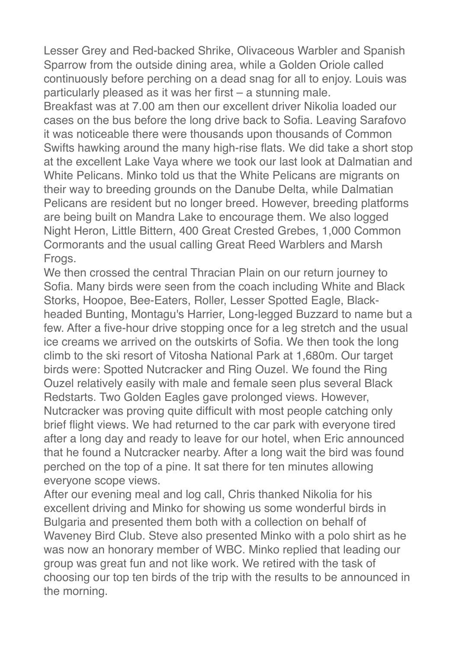Lesser Grey and Red-backed Shrike, Olivaceous Warbler and Spanish Sparrow from the outside dining area, while a Golden Oriole called continuously before perching on a dead snag for all to enjoy. Louis was particularly pleased as it was her first – a stunning male.

Breakfast was at 7.00 am then our excellent driver Nikolia loaded our cases on the bus before the long drive back to Sofia. Leaving Sarafovo it was noticeable there were thousands upon thousands of Common Swifts hawking around the many high-rise flats. We did take a short stop at the excellent Lake Vaya where we took our last look at Dalmatian and White Pelicans. Minko told us that the White Pelicans are migrants on their way to breeding grounds on the Danube Delta, while Dalmatian Pelicans are resident but no longer breed. However, breeding platforms are being built on Mandra Lake to encourage them. We also logged Night Heron, Little Bittern, 400 Great Crested Grebes, 1,000 Common Cormorants and the usual calling Great Reed Warblers and Marsh Frogs.

We then crossed the central Thracian Plain on our return journey to Sofia. Many birds were seen from the coach including White and Black Storks, Hoopoe, Bee-Eaters, Roller, Lesser Spotted Eagle, Blackheaded Bunting, Montagu's Harrier, Long-legged Buzzard to name but a few. After a five-hour drive stopping once for a leg stretch and the usual ice creams we arrived on the outskirts of Sofia. We then took the long climb to the ski resort of Vitosha National Park at 1,680m. Our target birds were: Spotted Nutcracker and Ring Ouzel. We found the Ring Ouzel relatively easily with male and female seen plus several Black Redstarts. Two Golden Eagles gave prolonged views. However, Nutcracker was proving quite difficult with most people catching only brief flight views. We had returned to the car park with everyone tired after a long day and ready to leave for our hotel, when Eric announced that he found a Nutcracker nearby. After a long wait the bird was found perched on the top of a pine. It sat there for ten minutes allowing everyone scope views.

After our evening meal and log call, Chris thanked Nikolia for his excellent driving and Minko for showing us some wonderful birds in Bulgaria and presented them both with a collection on behalf of Waveney Bird Club. Steve also presented Minko with a polo shirt as he was now an honorary member of WBC. Minko replied that leading our group was great fun and not like work. We retired with the task of choosing our top ten birds of the trip with the results to be announced in the morning.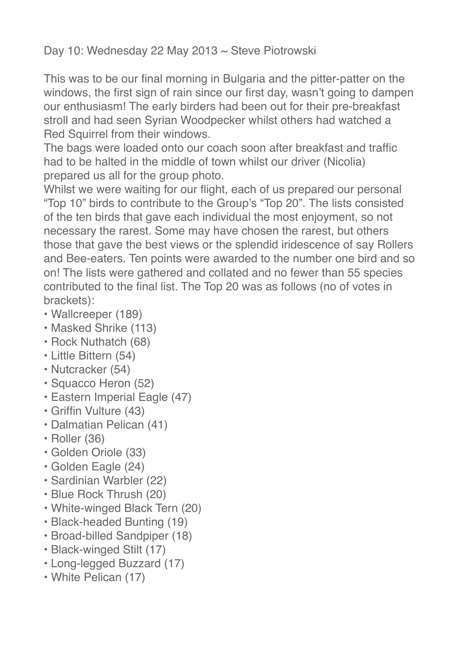## Day 10: Wednesday 22 May 2013 ~ Steve Piotrowski

This was to be our final morning in Bulgaria and the pitter-patter on the windows, the first sign of rain since our first day, wasn't going to dampen our enthusiasm! The early birders had been out for their pre-breakfast stroll and had seen Syrian Woodpecker whilst others had watched a Red Squirrel from their windows.

The bags were loaded onto our coach soon after breakfast and traffic had to be halted in the middle of town whilst our driver (Nicolia) prepared us all for the group photo.

Whilst we were waiting for our flight, each of us prepared our personal "Top 10" birds to contribute to the Group's "Top 20". The lists consisted of the ten birds that gave each individual the most enjoyment, so not necessary the rarest. Some may have chosen the rarest, but others those that gave the best views or the splendid iridescence of say Rollers and Bee-eaters. Ten points were awarded to the number one bird and so on! The lists were gathered and collated and no fewer than 55 species contributed to the final list. The Top 20 was as follows (no of votes in brackets):

- Wallcreeper (189)
- Masked Shrike (113)
- Rock Nuthatch (68)
- Little Bittern (54)
- Nutcracker (54)
- Squacco Heron (52)
- Eastern Imperial Eagle (47)
- Griffin Vulture (43)
- Dalmatian Pelican (41)
- Roller (36)
- Golden Oriole (33)
- Golden Eagle (24)
- Sardinian Warbler (22)
- Blue Rock Thrush (20)
- White-winged Black Tern (20)
- Black-headed Bunting (19)
- Broad-billed Sandpiper (18)
- Black-winged Stilt (17)
- Long-legged Buzzard (17)
- White Pelican (17)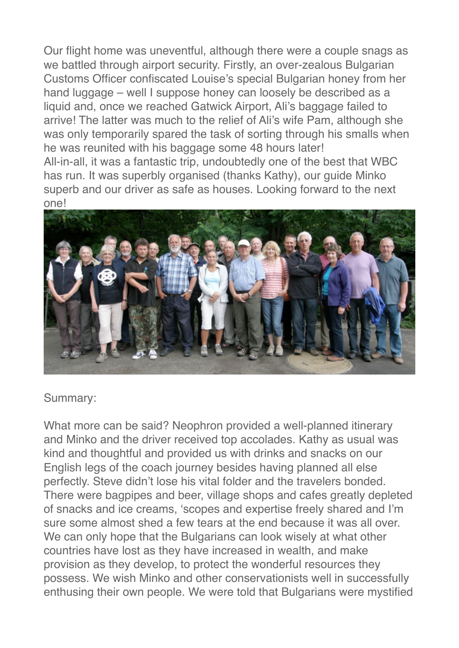Our flight home was uneventful, although there were a couple snags as we battled through airport security. Firstly, an over-zealous Bulgarian Customs Officer confiscated Louise's special Bulgarian honey from her hand luggage – well I suppose honey can loosely be described as a liquid and, once we reached Gatwick Airport, Ali's baggage failed to arrive! The latter was much to the relief of Ali's wife Pam, although she was only temporarily spared the task of sorting through his smalls when he was reunited with his baggage some 48 hours later!

All-in-all, it was a fantastic trip, undoubtedly one of the best that WBC has run. It was superbly organised (thanks Kathy), our guide Minko superb and our driver as safe as houses. Looking forward to the next one!



#### Summary:

What more can be said? Neophron provided a well-planned itinerary and Minko and the driver received top accolades. Kathy as usual was kind and thoughtful and provided us with drinks and snacks on our English legs of the coach journey besides having planned all else perfectly. Steve didn't lose his vital folder and the travelers bonded. There were bagpipes and beer, village shops and cafes greatly depleted of snacks and ice creams, 'scopes and expertise freely shared and I'm sure some almost shed a few tears at the end because it was all over. We can only hope that the Bulgarians can look wisely at what other countries have lost as they have increased in wealth, and make provision as they develop, to protect the wonderful resources they possess. We wish Minko and other conservationists well in successfully enthusing their own people. We were told that Bulgarians were mystified